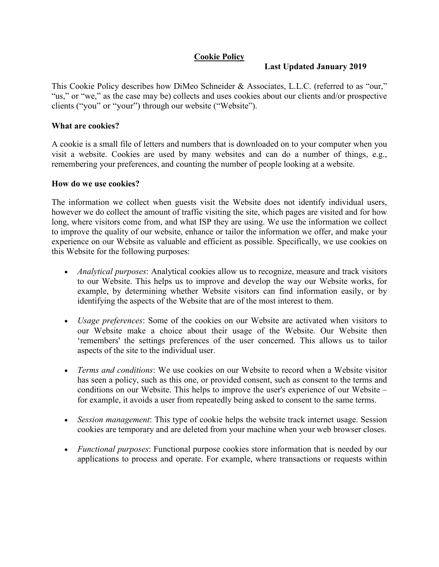# **Cookie Policy**

### **Last Updated January 2019**

This Cookie Policy describes how DiMeo Schneider & Associates, L.L.C. (referred to as "our," "us," or "we," as the case may be) collects and uses cookies about our clients and/or prospective clients ("you" or "your") through our website ("Website").

#### **What are cookies?**

A cookie is a small file of letters and numbers that is downloaded on to your computer when you visit a website. Cookies are used by many websites and can do a number of things, e.g., remembering your preferences, and counting the number of people looking at a website.

#### **How do we use cookies?**

The information we collect when guests visit the Website does not identify individual users, however we do collect the amount of traffic visiting the site, which pages are visited and for how long, where visitors come from, and what ISP they are using. We use the information we collect to improve the quality of our website, enhance or tailor the information we offer, and make your experience on our Website as valuable and efficient as possible. Specifically, we use cookies on this Website for the following purposes:

- *Analytical purposes*: Analytical cookies allow us to recognize, measure and track visitors to our Website. This helps us to improve and develop the way our Website works, for example, by determining whether Website visitors can find information easily, or by identifying the aspects of the Website that are of the most interest to them.
- *Usage preferences*: Some of the cookies on our Website are activated when visitors to our Website make a choice about their usage of the Website. Our Website then 'remembers' the settings preferences of the user concerned. This allows us to tailor aspects of the site to the individual user.
- *Terms and conditions*: We use cookies on our Website to record when a Website visitor has seen a policy, such as this one, or provided consent, such as consent to the terms and conditions on our Website. This helps to improve the user's experience of our Website – for example, it avoids a user from repeatedly being asked to consent to the same terms.
- *Session management*: This type of cookie helps the website track internet usage. Session cookies are temporary and are deleted from your machine when your web browser closes.
- *Functional purposes*: Functional purpose cookies store information that is needed by our applications to process and operate. For example, where transactions or requests within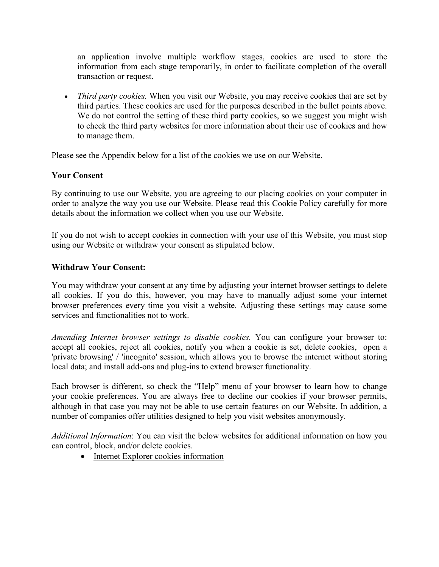an application involve multiple workflow stages, cookies are used to store the information from each stage temporarily, in order to facilitate completion of the overall transaction or request.

• *Third party cookies.* When you visit our Website, you may receive cookies that are set by third parties. These cookies are used for the purposes described in the bullet points above. We do not control the setting of these third party cookies, so we suggest you might wish to check the third party websites for more information about their use of cookies and how to manage them.

Please see the Appendix below for a list of the cookies we use on our Website.

## **Your Consent**

By continuing to use our Website, you are agreeing to our placing cookies on your computer in order to analyze the way you use our Website. Please read this Cookie Policy carefully for more details about the information we collect when you use our Website.

If you do not wish to accept cookies in connection with your use of this Website, you must stop using our Website or withdraw your consent as stipulated below.

#### **Withdraw Your Consent:**

You may withdraw your consent at any time by adjusting your internet browser settings to delete all cookies. If you do this, however, you may have to manually adjust some your internet browser preferences every time you visit a website. Adjusting these settings may cause some services and functionalities not to work.

*Amending Internet browser settings to disable cookies.* You can configure your browser to: accept all cookies, reject all cookies, notify you when a cookie is set, delete cookies, open a 'private browsing' / 'incognito' session, which allows you to browse the internet without storing local data; and install add-ons and plug-ins to extend browser functionality.

Each browser is different, so check the "Help" menu of your browser to learn how to change your cookie preferences. You are always free to decline our cookies if your browser permits, although in that case you may not be able to use certain features on our Website. In addition, a number of companies offer utilities designed to help you visit websites anonymously.

*Additional Information*: You can visit the below websites for additional information on how you can control, block, and/or delete cookies.

• [Internet Explorer cookies information](http://support.microsoft.com/kb/278835)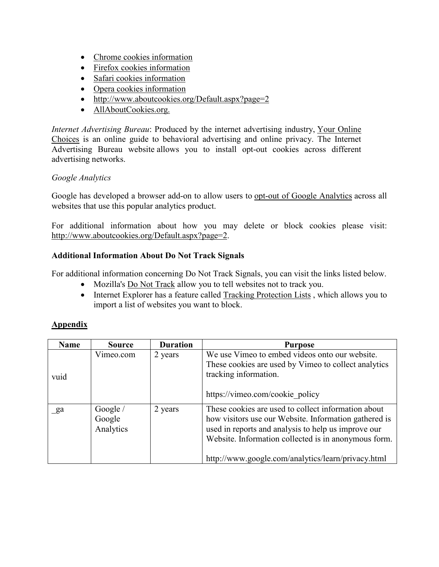- [Chrome cookies information](https://support.google.com/chrome/answer/95647?hl=en-GB)
- [Firefox cookies information](http://support.mozilla.org/en-US/kb/Clear%20Recent%20History)
- [Safari cookies information](http://support.apple.com/kb/PH5042)
- [Opera cookies information](http://www.opera.com/help/tutorials/security/privacy/)
- <http://www.aboutcookies.org/Default.aspx?page=2>
- [AllAboutCookies.org.](http://www.allaboutcookies.org/)

*Internet Advertising Bureau*: Produced by the internet advertising industry, [Your Online](http://www.youronlinechoices.com/uk)  [Choices](http://www.youronlinechoices.com/uk) is an online guide to behavioral advertising and online privacy. The Internet Advertising Bureau website allows you to install opt-out cookies across different advertising networks.

## *Google Analytics*

Google has developed a browser add-on to allow users to [opt-out of Google Analytics](http://tools.google.com/dlpage/gaoptout) across all websites that use this popular analytics product.

For additional information about how you may delete or block cookies please visit: [http://www.aboutcookies.org/Default.aspx?page=2.](http://www.aboutcookies.org/Default.aspx?page=2)

#### **Additional Information About Do Not Track Signals**

For additional information concerning Do Not Track Signals, you can visit the links listed below.

- Mozilla's [Do Not Track](http://dnt.mozilla.org/) allow you to tell websites not to track you.
- Internet Explorer has a feature called [Tracking Protection Lists](http://windows.microsoft.com/en-US/internet-explorer/products/ie-9/features/tracking-protection), which allows you to import a list of websites you want to block.

## **Appendix**

| <b>Name</b> | <b>Source</b>                     | <b>Duration</b> | <b>Purpose</b>                                                                                                                                                                                                                                                                    |
|-------------|-----------------------------------|-----------------|-----------------------------------------------------------------------------------------------------------------------------------------------------------------------------------------------------------------------------------------------------------------------------------|
| vuid        | Vimeo.com                         | 2 years         | We use Vimeo to embed videos onto our website.<br>These cookies are used by Vimeo to collect analytics<br>tracking information.<br>https://vimeo.com/cookie policy                                                                                                                |
| ga          | Google $/$<br>Google<br>Analytics | 2 years         | These cookies are used to collect information about<br>how visitors use our Website. Information gathered is<br>used in reports and analysis to help us improve our<br>Website. Information collected is in anonymous form.<br>http://www.google.com/analytics/learn/privacy.html |